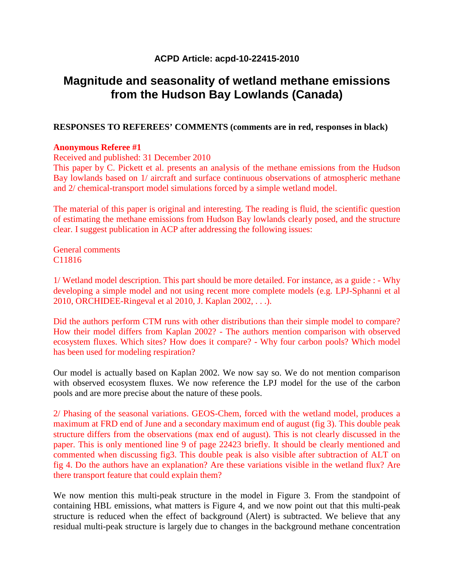# **ACPD Article: acpd-10-22415-2010**

# **Magnitude and seasonality of wetland methane emissions from the Hudson Bay Lowlands (Canada)**

## **RESPONSES TO REFEREES' COMMENTS (comments are in red, responses in black)**

### **Anonymous Referee #1**

Received and published: 31 December 2010

This paper by C. Pickett et al. presents an analysis of the methane emissions from the Hudson Bay lowlands based on 1/ aircraft and surface continuous observations of atmospheric methane and 2/ chemical-transport model simulations forced by a simple wetland model.

The material of this paper is original and interesting. The reading is fluid, the scientific question of estimating the methane emissions from Hudson Bay lowlands clearly posed, and the structure clear. I suggest publication in ACP after addressing the following issues:

General comments C11816

1/ Wetland model description. This part should be more detailed. For instance, as a guide : - Why developing a simple model and not using recent more complete models (e.g. LPJ-Sphanni et al 2010, ORCHIDEE-Ringeval et al 2010, J. Kaplan 2002, . . .).

Did the authors perform CTM runs with other distributions than their simple model to compare? How their model differs from Kaplan 2002? - The authors mention comparison with observed ecosystem fluxes. Which sites? How does it compare? - Why four carbon pools? Which model has been used for modeling respiration?

Our model is actually based on Kaplan 2002. We now say so. We do not mention comparison with observed ecosystem fluxes. We now reference the LPJ model for the use of the carbon pools and are more precise about the nature of these pools.

2/ Phasing of the seasonal variations. GEOS-Chem, forced with the wetland model, produces a maximum at FRD end of June and a secondary maximum end of august (fig 3). This double peak structure differs from the observations (max end of august). This is not clearly discussed in the paper. This is only mentioned line 9 of page 22423 briefly. It should be clearly mentioned and commented when discussing fig3. This double peak is also visible after subtraction of ALT on fig 4. Do the authors have an explanation? Are these variations visible in the wetland flux? Are there transport feature that could explain them?

We now mention this multi-peak structure in the model in Figure 3. From the standpoint of containing HBL emissions, what matters is Figure 4, and we now point out that this multi-peak structure is reduced when the effect of background (Alert) is subtracted. We believe that any residual multi-peak structure is largely due to changes in the background methane concentration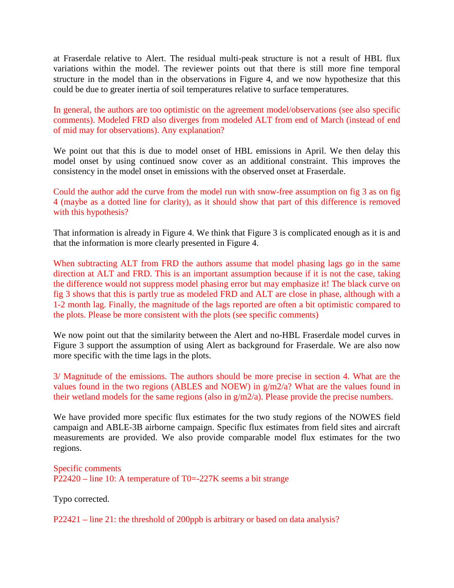at Fraserdale relative to Alert. The residual multi-peak structure is not a result of HBL flux variations within the model. The reviewer points out that there is still more fine temporal structure in the model than in the observations in Figure 4, and we now hypothesize that this could be due to greater inertia of soil temperatures relative to surface temperatures.

In general, the authors are too optimistic on the agreement model/observations (see also specific comments). Modeled FRD also diverges from modeled ALT from end of March (instead of end of mid may for observations). Any explanation?

We point out that this is due to model onset of HBL emissions in April. We then delay this model onset by using continued snow cover as an additional constraint. This improves the consistency in the model onset in emissions with the observed onset at Fraserdale.

Could the author add the curve from the model run with snow-free assumption on fig 3 as on fig 4 (maybe as a dotted line for clarity), as it should show that part of this difference is removed with this hypothesis?

That information is already in Figure 4. We think that Figure 3 is complicated enough as it is and that the information is more clearly presented in Figure 4.

When subtracting ALT from FRD the authors assume that model phasing lags go in the same direction at ALT and FRD. This is an important assumption because if it is not the case, taking the difference would not suppress model phasing error but may emphasize it! The black curve on fig 3 shows that this is partly true as modeled FRD and ALT are close in phase, although with a 1-2 month lag. Finally, the magnitude of the lags reported are often a bit optimistic compared to the plots. Please be more consistent with the plots (see specific comments)

We now point out that the similarity between the Alert and no-HBL Fraserdale model curves in Figure 3 support the assumption of using Alert as background for Fraserdale. We are also now more specific with the time lags in the plots.

3/ Magnitude of the emissions. The authors should be more precise in section 4. What are the values found in the two regions (ABLES and NOEW) in g/m2/a? What are the values found in their wetland models for the same regions (also in g/m2/a). Please provide the precise numbers.

We have provided more specific flux estimates for the two study regions of the NOWES field campaign and ABLE-3B airborne campaign. Specific flux estimates from field sites and aircraft measurements are provided. We also provide comparable model flux estimates for the two regions.

Specific comments P22420 – line 10: A temperature of T0=-227K seems a bit strange

Typo corrected.

P22421 – line 21: the threshold of 200ppb is arbitrary or based on data analysis?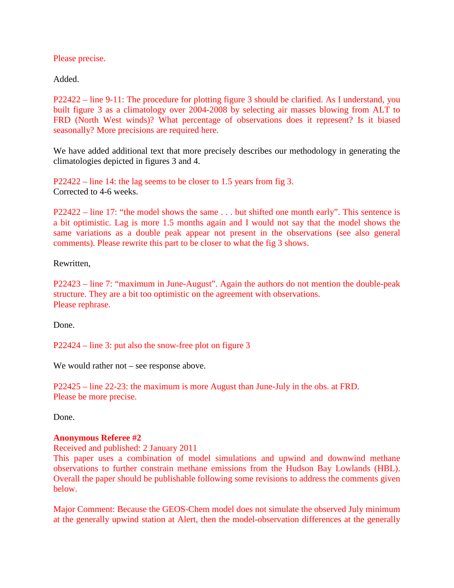Please precise.

Added.

P22422 – line 9-11: The procedure for plotting figure 3 should be clarified. As I understand, you built figure 3 as a climatology over 2004-2008 by selecting air masses blowing from ALT to FRD (North West winds)? What percentage of observations does it represent? Is it biased seasonally? More precisions are required here.

We have added additional text that more precisely describes our methodology in generating the climatologies depicted in figures 3 and 4.

P22422 – line 14: the lag seems to be closer to 1.5 years from fig 3. Corrected to 4-6 weeks.

P22422 – line 17: "the model shows the same . . . but shifted one month early". This sentence is a bit optimistic. Lag is more 1.5 months again and I would not say that the model shows the same variations as a double peak appear not present in the observations (see also general comments). Please rewrite this part to be closer to what the fig 3 shows.

Rewritten,

P22423 – line 7: "maximum in June-August". Again the authors do not mention the double-peak structure. They are a bit too optimistic on the agreement with observations. Please rephrase.

Done.

P22424 – line 3: put also the snow-free plot on figure 3

We would rather not – see response above.

P22425 – line 22-23: the maximum is more August than June-July in the obs. at FRD. Please be more precise.

Done.

### **Anonymous Referee #2**

Received and published: 2 January 2011

This paper uses a combination of model simulations and upwind and downwind methane observations to further constrain methane emissions from the Hudson Bay Lowlands (HBL). Overall the paper should be publishable following some revisions to address the comments given below.

Major Comment: Because the GEOS-Chem model does not simulate the observed July minimum at the generally upwind station at Alert, then the model-observation differences at the generally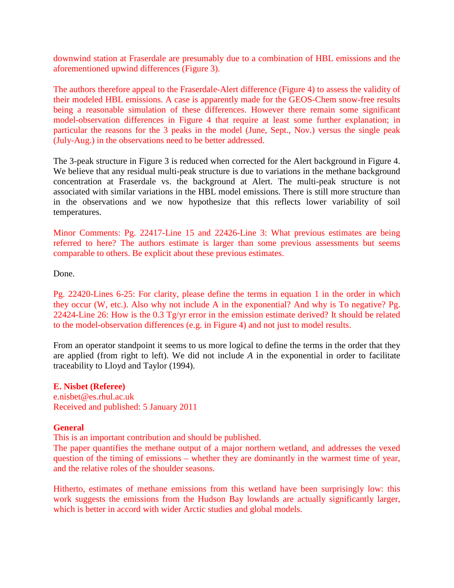downwind station at Fraserdale are presumably due to a combination of HBL emissions and the aforementioned upwind differences (Figure 3).

The authors therefore appeal to the Fraserdale-Alert difference (Figure 4) to assess the validity of their modeled HBL emissions. A case is apparently made for the GEOS-Chem snow-free results being a reasonable simulation of these differences. However there remain some significant model-observation differences in Figure 4 that require at least some further explanation; in particular the reasons for the 3 peaks in the model (June, Sept., Nov.) versus the single peak (July-Aug.) in the observations need to be better addressed.

The 3-peak structure in Figure 3 is reduced when corrected for the Alert background in Figure 4. We believe that any residual multi-peak structure is due to variations in the methane background concentration at Fraserdale vs. the background at Alert. The multi-peak structure is not associated with similar variations in the HBL model emissions. There is still more structure than in the observations and we now hypothesize that this reflects lower variability of soil temperatures.

Minor Comments: Pg. 22417-Line 15 and 22426-Line 3: What previous estimates are being referred to here? The authors estimate is larger than some previous assessments but seems comparable to others. Be explicit about these previous estimates.

Done.

Pg. 22420-Lines 6-25: For clarity, please define the terms in equation 1 in the order in which they occur (W, etc.). Also why not include A in the exponential? And why is To negative? Pg. 22424-Line 26: How is the 0.3 Tg/yr error in the emission estimate derived? It should be related to the model-observation differences (e.g. in Figure 4) and not just to model results.

From an operator standpoint it seems to us more logical to define the terms in the order that they are applied (from right to left). We did not include *A* in the exponential in order to facilitate traceability to Lloyd and Taylor (1994).

**E. Nisbet (Referee)**  e.nisbet@es.rhul.ac.uk Received and published: 5 January 2011

### **General**

This is an important contribution and should be published.

The paper quantifies the methane output of a major northern wetland, and addresses the vexed question of the timing of emissions – whether they are dominantly in the warmest time of year, and the relative roles of the shoulder seasons.

Hitherto, estimates of methane emissions from this wetland have been surprisingly low: this work suggests the emissions from the Hudson Bay lowlands are actually significantly larger, which is better in accord with wider Arctic studies and global models.